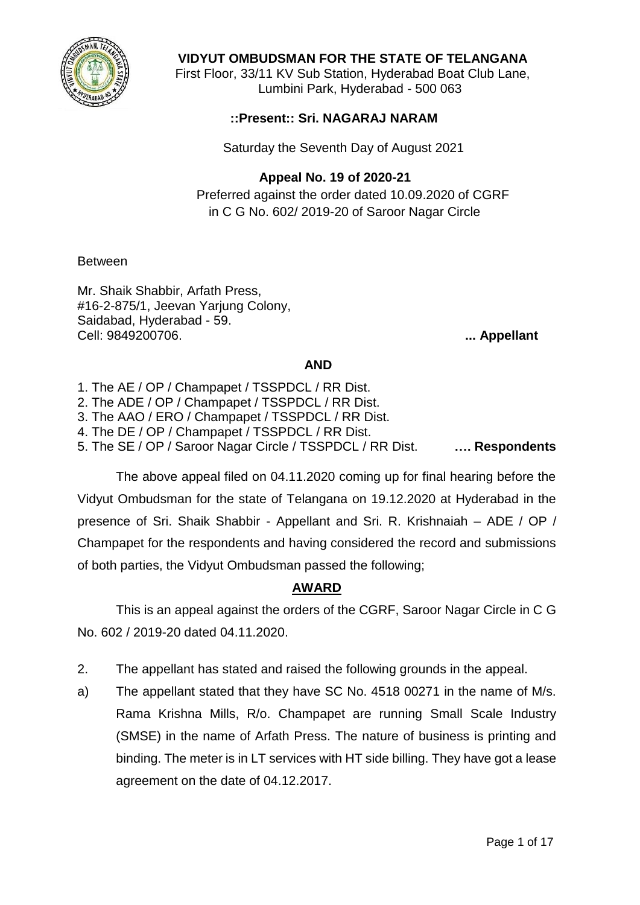

## **VIDYUT OMBUDSMAN FOR THE STATE OF TELANGANA**

First Floor, 33/11 KV Sub Station, Hyderabad Boat Club Lane, Lumbini Park, Hyderabad - 500 063

### **::Present:: Sri. NAGARAJ NARAM**

Saturday the Seventh Day of August 2021

## **Appeal No. 19 of 2020-21**

Preferred against the order dated 10.09.2020 of CGRF in C G No. 602/ 2019-20 of Saroor Nagar Circle

Between

Mr. Shaik Shabbir, Arfath Press, #16-2-875/1, Jeevan Yarjung Colony, Saidabad, Hyderabad - 59. Cell: 9849200706. **... Appellant**

#### **AND**

- 1. The AE / OP / Champapet / TSSPDCL / RR Dist.
- 2. The ADE / OP / Champapet / TSSPDCL / RR Dist.
- 3. The AAO / ERO / Champapet / TSSPDCL / RR Dist.
- 4. The DE / OP / Champapet / TSSPDCL / RR Dist.

5. The SE / OP / Saroor Nagar Circle / TSSPDCL / RR Dist. **…. Respondents**

The above appeal filed on 04.11.2020 coming up for final hearing before the Vidyut Ombudsman for the state of Telangana on 19.12.2020 at Hyderabad in the presence of Sri. Shaik Shabbir - Appellant and Sri. R. Krishnaiah – ADE / OP / Champapet for the respondents and having considered the record and submissions of both parties, the Vidyut Ombudsman passed the following;

# **AWARD**

This is an appeal against the orders of the CGRF, Saroor Nagar Circle in C G No. 602 / 2019-20 dated 04.11.2020.

- 2. The appellant has stated and raised the following grounds in the appeal.
- a) The appellant stated that they have SC No. 4518 00271 in the name of M/s. Rama Krishna Mills, R/o. Champapet are running Small Scale Industry (SMSE) in the name of Arfath Press. The nature of business is printing and binding. The meter is in LT services with HT side billing. They have got a lease agreement on the date of 04.12.2017.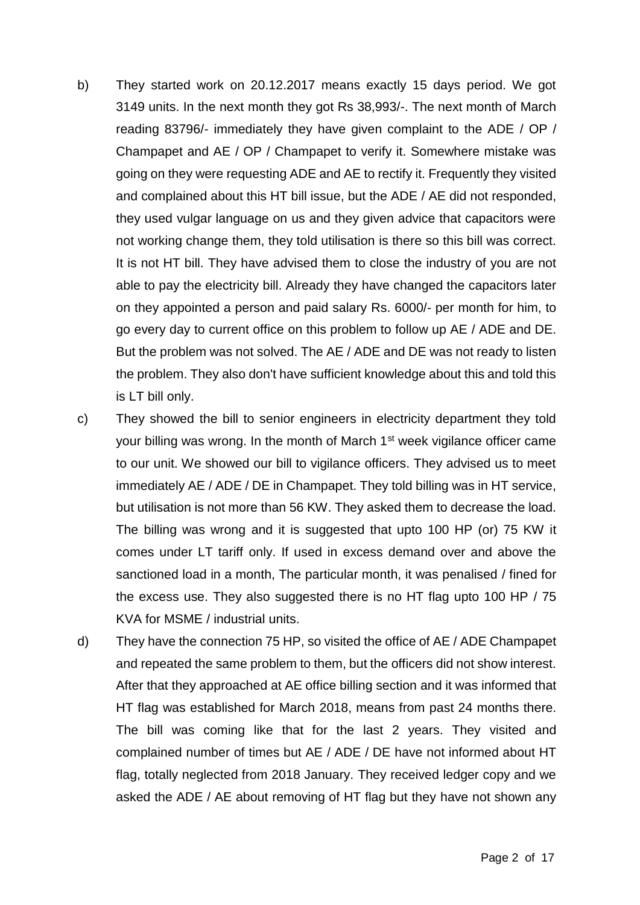- b) They started work on 20.12.2017 means exactly 15 days period. We got 3149 units. In the next month they got Rs 38,993/-. The next month of March reading 83796/- immediately they have given complaint to the ADE / OP / Champapet and AE / OP / Champapet to verify it. Somewhere mistake was going on they were requesting ADE and AE to rectify it. Frequently they visited and complained about this HT bill issue, but the ADE / AE did not responded, they used vulgar language on us and they given advice that capacitors were not working change them, they told utilisation is there so this bill was correct. It is not HT bill. They have advised them to close the industry of you are not able to pay the electricity bill. Already they have changed the capacitors later on they appointed a person and paid salary Rs. 6000/- per month for him, to go every day to current office on this problem to follow up AE / ADE and DE. But the problem was not solved. The AE / ADE and DE was not ready to listen the problem. They also don't have sufficient knowledge about this and told this is LT bill only.
- c) They showed the bill to senior engineers in electricity department they told your billing was wrong. In the month of March 1<sup>st</sup> week vigilance officer came to our unit. We showed our bill to vigilance officers. They advised us to meet immediately AE / ADE / DE in Champapet. They told billing was in HT service, but utilisation is not more than 56 KW. They asked them to decrease the load. The billing was wrong and it is suggested that upto 100 HP (or) 75 KW it comes under LT tariff only. If used in excess demand over and above the sanctioned load in a month, The particular month, it was penalised / fined for the excess use. They also suggested there is no HT flag upto 100 HP / 75 KVA for MSME / industrial units.
- d) They have the connection 75 HP, so visited the office of AE / ADE Champapet and repeated the same problem to them, but the officers did not show interest. After that they approached at AE office billing section and it was informed that HT flag was established for March 2018, means from past 24 months there. The bill was coming like that for the last 2 years. They visited and complained number of times but AE / ADE / DE have not informed about HT flag, totally neglected from 2018 January. They received ledger copy and we asked the ADE / AE about removing of HT flag but they have not shown any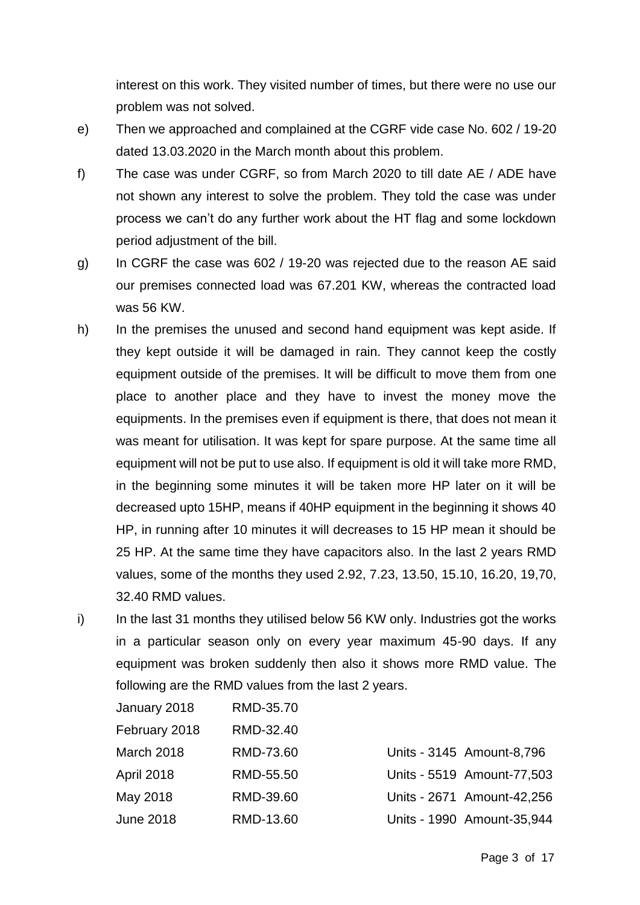interest on this work. They visited number of times, but there were no use our problem was not solved.

- e) Then we approached and complained at the CGRF vide case No. 602 / 19-20 dated 13.03.2020 in the March month about this problem.
- f) The case was under CGRF, so from March 2020 to till date AE / ADE have not shown any interest to solve the problem. They told the case was under process we can't do any further work about the HT flag and some lockdown period adjustment of the bill.
- g) In CGRF the case was 602 / 19-20 was rejected due to the reason AE said our premises connected load was 67.201 KW, whereas the contracted load was 56 KW.
- h) In the premises the unused and second hand equipment was kept aside. If they kept outside it will be damaged in rain. They cannot keep the costly equipment outside of the premises. It will be difficult to move them from one place to another place and they have to invest the money move the equipments. In the premises even if equipment is there, that does not mean it was meant for utilisation. It was kept for spare purpose. At the same time all equipment will not be put to use also. If equipment is old it will take more RMD, in the beginning some minutes it will be taken more HP later on it will be decreased upto 15HP, means if 40HP equipment in the beginning it shows 40 HP, in running after 10 minutes it will decreases to 15 HP mean it should be 25 HP. At the same time they have capacitors also. In the last 2 years RMD values, some of the months they used 2.92, 7.23, 13.50, 15.10, 16.20, 19,70, 32.40 RMD values.
- i) In the last 31 months they utilised below 56 KW only. Industries got the works in a particular season only on every year maximum 45-90 days. If any equipment was broken suddenly then also it shows more RMD value. The following are the RMD values from the last 2 years.

| January 2018  | RMD-35.70 |                            |
|---------------|-----------|----------------------------|
| February 2018 | RMD-32.40 |                            |
| March 2018    | RMD-73.60 | Units - 3145 Amount-8,796  |
| April 2018    | RMD-55.50 | Units - 5519 Amount-77,503 |
| May 2018      | RMD-39.60 | Units - 2671 Amount-42,256 |
| June 2018     | RMD-13.60 | Units - 1990 Amount-35,944 |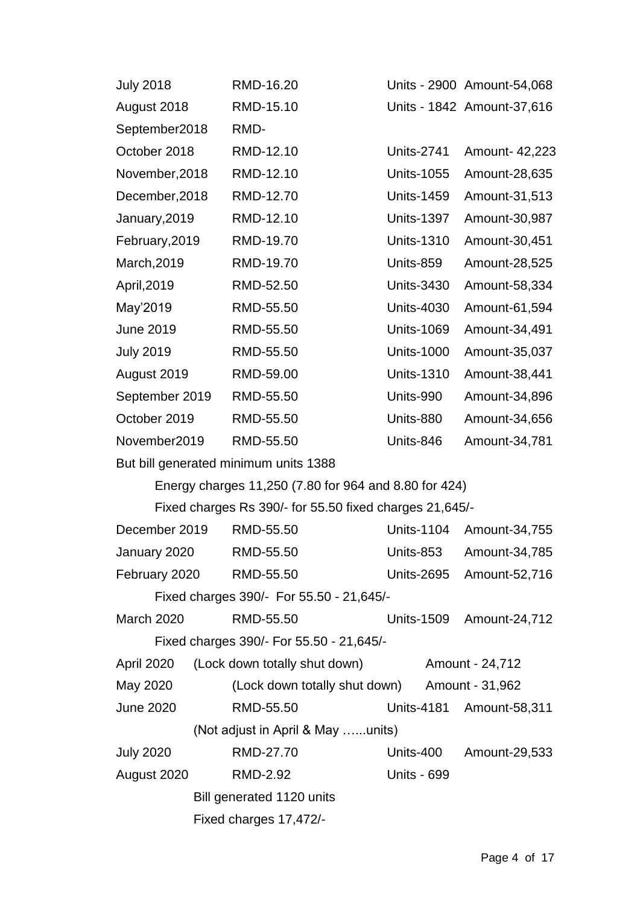| <b>July 2018</b>                         | RMD-16.20                                               |                    | Units - 2900 Amount-54,068 |  |
|------------------------------------------|---------------------------------------------------------|--------------------|----------------------------|--|
| August 2018                              | RMD-15.10                                               |                    | Units - 1842 Amount-37,616 |  |
| September2018                            | RMD-                                                    |                    |                            |  |
| October 2018                             | RMD-12.10                                               | <b>Units-2741</b>  | Amount- 42,223             |  |
| November, 2018                           | RMD-12.10                                               | <b>Units-1055</b>  | Amount-28,635              |  |
| December, 2018                           | RMD-12.70                                               | <b>Units-1459</b>  | Amount-31,513              |  |
| January, 2019                            | RMD-12.10                                               | <b>Units-1397</b>  | Amount-30,987              |  |
| February, 2019                           | RMD-19.70                                               | <b>Units-1310</b>  | Amount-30,451              |  |
| March, 2019                              | RMD-19.70                                               | Units-859          | Amount-28,525              |  |
| April, 2019                              | RMD-52.50                                               | <b>Units-3430</b>  | Amount-58,334              |  |
| May'2019                                 | RMD-55.50                                               | <b>Units-4030</b>  | Amount-61,594              |  |
| <b>June 2019</b>                         | RMD-55.50                                               | <b>Units-1069</b>  | Amount-34,491              |  |
| <b>July 2019</b>                         | RMD-55.50                                               | <b>Units-1000</b>  | Amount-35,037              |  |
| August 2019                              | RMD-59.00                                               | <b>Units-1310</b>  | Amount-38,441              |  |
| September 2019                           | RMD-55.50                                               | Units-990          | Amount-34,896              |  |
| October 2019                             | RMD-55.50                                               | Units-880          | Amount-34,656              |  |
| November2019                             | RMD-55.50                                               | Units-846          | Amount-34,781              |  |
|                                          | But bill generated minimum units 1388                   |                    |                            |  |
|                                          | Energy charges 11,250 (7.80 for 964 and 8.80 for 424)   |                    |                            |  |
|                                          | Fixed charges Rs 390/- for 55.50 fixed charges 21,645/- |                    |                            |  |
| December 2019                            | RMD-55.50                                               | <b>Units-1104</b>  | Amount-34,755              |  |
| January 2020                             | RMD-55.50                                               | Units-853          | Amount-34,785              |  |
| February 2020                            | RMD-55.50                                               |                    | Units-2695 Amount-52,716   |  |
| Fixed charges 390/- For 55.50 - 21,645/- |                                                         |                    |                            |  |
| <b>March 2020</b>                        | RMD-55.50                                               |                    | Units-1509 Amount-24,712   |  |
| Fixed charges 390/- For 55.50 - 21,645/- |                                                         |                    |                            |  |
| <b>April 2020</b>                        | (Lock down totally shut down)                           |                    | Amount - 24,712            |  |
| May 2020                                 | (Lock down totally shut down) Amount - 31,962           |                    |                            |  |
| <b>June 2020</b>                         | RMD-55.50                                               |                    | Units-4181 Amount-58,311   |  |
| (Not adjust in April & May units)        |                                                         |                    |                            |  |
| <b>July 2020</b>                         | RMD-27.70                                               |                    | Units-400 Amount-29,533    |  |
| August 2020                              | RMD-2.92                                                | <b>Units - 699</b> |                            |  |
|                                          | Bill generated 1120 units                               |                    |                            |  |
|                                          | Fixed charges 17,472/-                                  |                    |                            |  |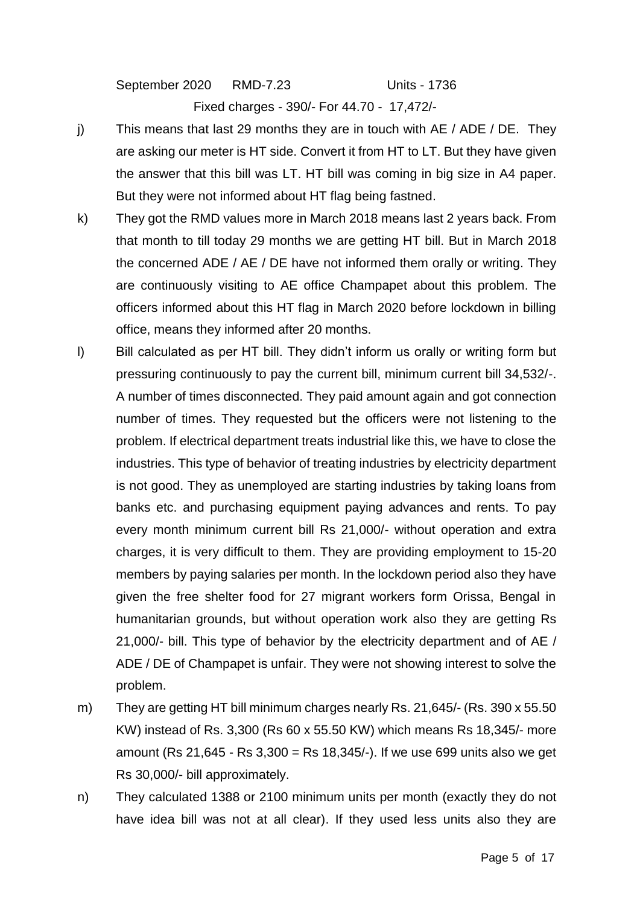September 2020 RMD-7.23 Units - 1736

Fixed charges - 390/- For 44.70 - 17,472/-

- j) This means that last 29 months they are in touch with AE / ADE / DE. They are asking our meter is HT side. Convert it from HT to LT. But they have given the answer that this bill was LT. HT bill was coming in big size in A4 paper. But they were not informed about HT flag being fastned.
- k) They got the RMD values more in March 2018 means last 2 years back. From that month to till today 29 months we are getting HT bill. But in March 2018 the concerned ADE / AE / DE have not informed them orally or writing. They are continuously visiting to AE office Champapet about this problem. The officers informed about this HT flag in March 2020 before lockdown in billing office, means they informed after 20 months.
- l) Bill calculated as per HT bill. They didn't inform us orally or writing form but pressuring continuously to pay the current bill, minimum current bill 34,532/-. A number of times disconnected. They paid amount again and got connection number of times. They requested but the officers were not listening to the problem. If electrical department treats industrial like this, we have to close the industries. This type of behavior of treating industries by electricity department is not good. They as unemployed are starting industries by taking loans from banks etc. and purchasing equipment paying advances and rents. To pay every month minimum current bill Rs 21,000/- without operation and extra charges, it is very difficult to them. They are providing employment to 15-20 members by paying salaries per month. In the lockdown period also they have given the free shelter food for 27 migrant workers form Orissa, Bengal in humanitarian grounds, but without operation work also they are getting Rs 21,000/- bill. This type of behavior by the electricity department and of AE / ADE / DE of Champapet is unfair. They were not showing interest to solve the problem.
- m) They are getting HT bill minimum charges nearly Rs. 21,645/- (Rs. 390 x 55.50 KW) instead of Rs. 3,300 (Rs 60 x 55.50 KW) which means Rs 18,345/- more amount (Rs 21,645 - Rs 3,300 = Rs 18,345/-). If we use 699 units also we get Rs 30,000/- bill approximately.
- n) They calculated 1388 or 2100 minimum units per month (exactly they do not have idea bill was not at all clear). If they used less units also they are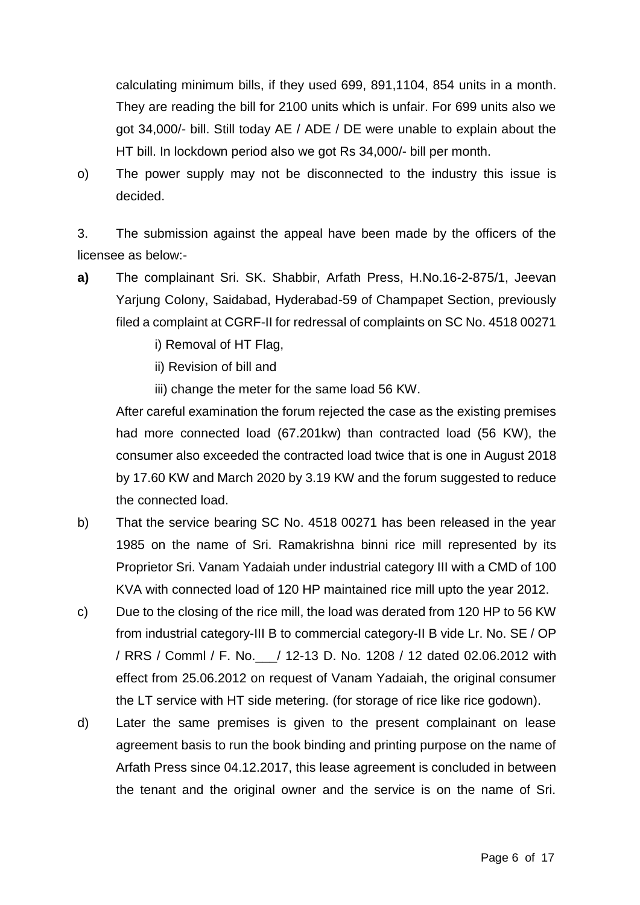calculating minimum bills, if they used 699, 891,1104, 854 units in a month. They are reading the bill for 2100 units which is unfair. For 699 units also we got 34,000/- bill. Still today AE / ADE / DE were unable to explain about the HT bill. In lockdown period also we got Rs 34,000/- bill per month.

o) The power supply may not be disconnected to the industry this issue is decided.

3. The submission against the appeal have been made by the officers of the licensee as below:-

**a)** The complainant Sri. SK. Shabbir, Arfath Press, H.No.16-2-875/1, Jeevan Yarjung Colony, Saidabad, Hyderabad-59 of Champapet Section, previously filed a complaint at CGRF-II for redressal of complaints on SC No. 4518 00271

i) Removal of HT Flag,

ii) Revision of bill and

iii) change the meter for the same load 56 KW.

After careful examination the forum rejected the case as the existing premises had more connected load (67.201kw) than contracted load (56 KW), the consumer also exceeded the contracted load twice that is one in August 2018 by 17.60 KW and March 2020 by 3.19 KW and the forum suggested to reduce the connected load.

- b) That the service bearing SC No. 4518 00271 has been released in the year 1985 on the name of Sri. Ramakrishna binni rice mill represented by its Proprietor Sri. Vanam Yadaiah under industrial category III with a CMD of 100 KVA with connected load of 120 HP maintained rice mill upto the year 2012.
- c) Due to the closing of the rice mill, the load was derated from 120 HP to 56 KW from industrial category-III B to commercial category-II B vide Lr. No. SE / OP / RRS / Comml / F. No.\_\_\_/ 12-13 D. No. 1208 / 12 dated 02.06.2012 with effect from 25.06.2012 on request of Vanam Yadaiah, the original consumer the LT service with HT side metering. (for storage of rice like rice godown).
- d) Later the same premises is given to the present complainant on lease agreement basis to run the book binding and printing purpose on the name of Arfath Press since 04.12.2017, this lease agreement is concluded in between the tenant and the original owner and the service is on the name of Sri.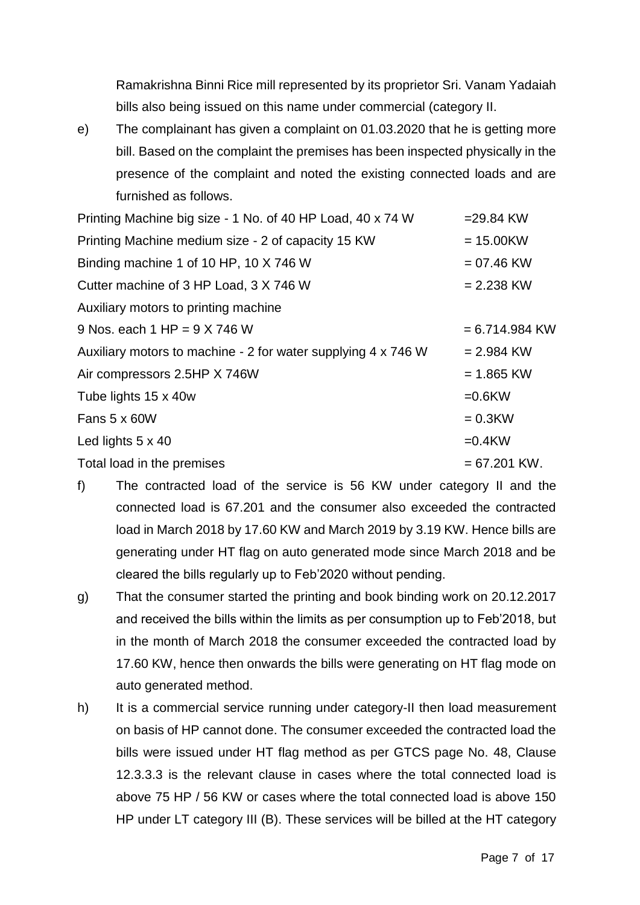Ramakrishna Binni Rice mill represented by its proprietor Sri. Vanam Yadaiah bills also being issued on this name under commercial (category II.

e) The complainant has given a complaint on 01.03.2020 that he is getting more bill. Based on the complaint the premises has been inspected physically in the presence of the complaint and noted the existing connected loads and are furnished as follows.

| Printing Machine big size - 1 No. of 40 HP Load, 40 x 74 W    | $= 29.84$ KW     |
|---------------------------------------------------------------|------------------|
| Printing Machine medium size - 2 of capacity 15 KW            | $= 15.00$ KW     |
| Binding machine 1 of 10 HP, 10 X 746 W                        | $= 07.46$ KW     |
| Cutter machine of 3 HP Load, 3 X 746 W                        | $= 2.238$ KW     |
| Auxiliary motors to printing machine                          |                  |
| 9 Nos. each $1$ HP = $9$ X 746 W                              | $= 6.714.984$ KW |
| Auxiliary motors to machine - 2 for water supplying 4 x 746 W | $= 2.984$ KW     |
| Air compressors 2.5HP X 746W                                  | $= 1.865$ KW     |
| Tube lights 15 x 40w                                          | $=0.6$ KW        |
| Fans 5 x 60W                                                  | $= 0.3$ KW       |
| Led lights $5 \times 40$                                      | $=0.4$ KW        |
| Total load in the premises                                    | $= 67.201$ KW.   |

- f) The contracted load of the service is 56 KW under category II and the connected load is 67.201 and the consumer also exceeded the contracted load in March 2018 by 17.60 KW and March 2019 by 3.19 KW. Hence bills are generating under HT flag on auto generated mode since March 2018 and be cleared the bills regularly up to Feb'2020 without pending.
- g) That the consumer started the printing and book binding work on 20.12.2017 and received the bills within the limits as per consumption up to Feb'2018, but in the month of March 2018 the consumer exceeded the contracted load by 17.60 KW, hence then onwards the bills were generating on HT flag mode on auto generated method.
- h) It is a commercial service running under category-II then load measurement on basis of HP cannot done. The consumer exceeded the contracted load the bills were issued under HT flag method as per GTCS page No. 48, Clause 12.3.3.3 is the relevant clause in cases where the total connected load is above 75 HP / 56 KW or cases where the total connected load is above 150 HP under LT category III (B). These services will be billed at the HT category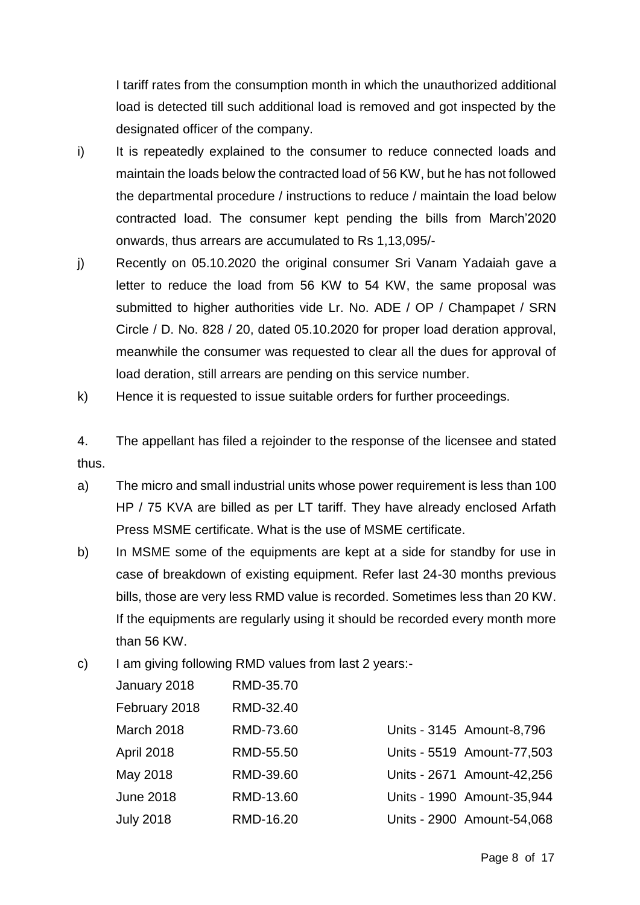I tariff rates from the consumption month in which the unauthorized additional load is detected till such additional load is removed and got inspected by the designated officer of the company.

- i) It is repeatedly explained to the consumer to reduce connected loads and maintain the loads below the contracted load of 56 KW, but he has not followed the departmental procedure / instructions to reduce / maintain the load below contracted load. The consumer kept pending the bills from March'2020 onwards, thus arrears are accumulated to Rs 1,13,095/-
- j) Recently on 05.10.2020 the original consumer Sri Vanam Yadaiah gave a letter to reduce the load from 56 KW to 54 KW, the same proposal was submitted to higher authorities vide Lr. No. ADE / OP / Champapet / SRN Circle / D. No. 828 / 20, dated 05.10.2020 for proper load deration approval, meanwhile the consumer was requested to clear all the dues for approval of load deration, still arrears are pending on this service number.
- k) Hence it is requested to issue suitable orders for further proceedings.

4. The appellant has filed a rejoinder to the response of the licensee and stated thus.

- a) The micro and small industrial units whose power requirement is less than 100 HP / 75 KVA are billed as per LT tariff. They have already enclosed Arfath Press MSME certificate. What is the use of MSME certificate.
- b) In MSME some of the equipments are kept at a side for standby for use in case of breakdown of existing equipment. Refer last 24-30 months previous bills, those are very less RMD value is recorded. Sometimes less than 20 KW. If the equipments are regularly using it should be recorded every month more than 56 KW.
- c) I am giving following RMD values from last 2 years:-

| January 2018      | RMD-35.70 |                            |
|-------------------|-----------|----------------------------|
| February 2018     | RMD-32.40 |                            |
| March 2018        | RMD-73.60 | Units - 3145 Amount-8,796  |
| <b>April 2018</b> | RMD-55.50 | Units - 5519 Amount-77,503 |
| May 2018          | RMD-39.60 | Units - 2671 Amount-42,256 |
| <b>June 2018</b>  | RMD-13.60 | Units - 1990 Amount-35,944 |
| <b>July 2018</b>  | RMD-16.20 | Units - 2900 Amount-54,068 |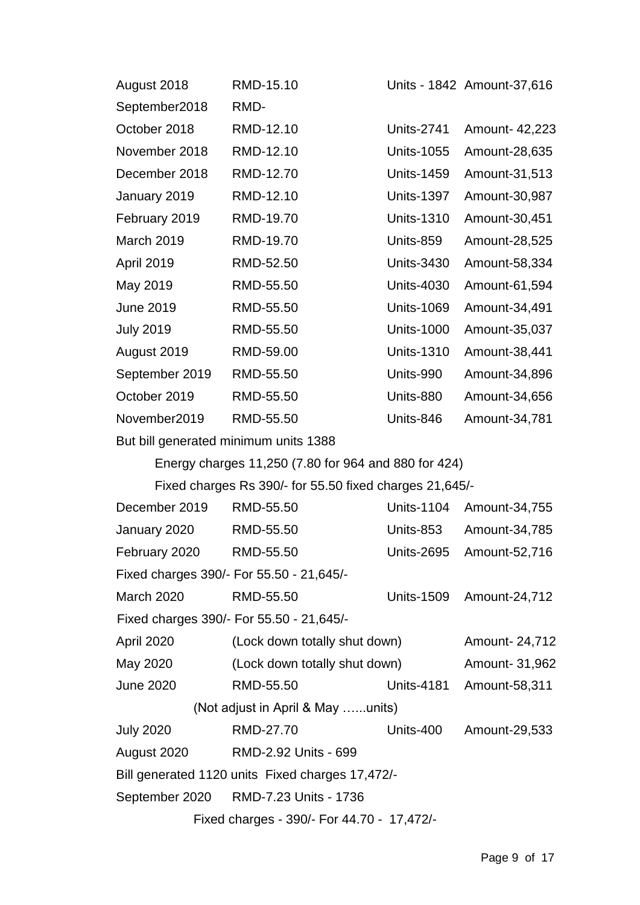| August 2018      | RMD-15.10 |                   | Units - 1842 Amount-37,616 |
|------------------|-----------|-------------------|----------------------------|
| September2018    | RMD-      |                   |                            |
| October 2018     | RMD-12.10 | <b>Units-2741</b> | Amount- 42,223             |
| November 2018    | RMD-12.10 | <b>Units-1055</b> | Amount-28,635              |
| December 2018    | RMD-12.70 | <b>Units-1459</b> | Amount-31,513              |
| January 2019     | RMD-12.10 | <b>Units-1397</b> | Amount-30,987              |
| February 2019    | RMD-19.70 | <b>Units-1310</b> | Amount-30,451              |
| March 2019       | RMD-19.70 | Units-859         | Amount-28,525              |
| April 2019       | RMD-52.50 | <b>Units-3430</b> | Amount-58,334              |
| May 2019         | RMD-55.50 | <b>Units-4030</b> | Amount-61,594              |
| <b>June 2019</b> | RMD-55.50 | <b>Units-1069</b> | Amount-34,491              |
| <b>July 2019</b> | RMD-55.50 | <b>Units-1000</b> | Amount-35,037              |
| August 2019      | RMD-59.00 | <b>Units-1310</b> | Amount-38,441              |
| September 2019   | RMD-55.50 | Units-990         | Amount-34,896              |
| October 2019     | RMD-55.50 | Units-880         | Amount-34,656              |
| November2019     | RMD-55.50 | Units-846         | Amount-34,781              |
|                  |           |                   |                            |

But bill generated minimum units 1388

Energy charges 11,250 (7.80 for 964 and 880 for 424)

Fixed charges Rs 390/- for 55.50 fixed charges 21,645/-

|                                            | December 2019                                    | RMD-55.50                                | <b>Units-1104</b> | Amount-34,755  |
|--------------------------------------------|--------------------------------------------------|------------------------------------------|-------------------|----------------|
|                                            | January 2020                                     | RMD-55.50                                | Units-853         | Amount-34,785  |
|                                            | February 2020                                    | RMD-55.50                                | <b>Units-2695</b> | Amount-52,716  |
|                                            |                                                  | Fixed charges 390/- For 55.50 - 21,645/- |                   |                |
|                                            | <b>March 2020</b>                                | RMD-55.50                                | <b>Units-1509</b> | Amount-24,712  |
|                                            |                                                  | Fixed charges 390/- For 55.50 - 21,645/- |                   |                |
|                                            | April 2020                                       | (Lock down totally shut down)            |                   | Amount- 24,712 |
|                                            | May 2020                                         | (Lock down totally shut down)            |                   | Amount- 31,962 |
|                                            | <b>June 2020</b>                                 | RMD-55.50                                | <b>Units-4181</b> | Amount-58,311  |
| (Not adjust in April & May units)          |                                                  |                                          |                   |                |
|                                            | <b>July 2020</b>                                 | RMD-27.70                                | Units-400         | Amount-29,533  |
|                                            | August 2020                                      | RMD-2.92 Units - 699                     |                   |                |
|                                            | Bill generated 1120 units Fixed charges 17,472/- |                                          |                   |                |
|                                            | September 2020                                   | RMD-7.23 Units - 1736                    |                   |                |
| Fixed charges - 390/- For 44.70 - 17,472/- |                                                  |                                          |                   |                |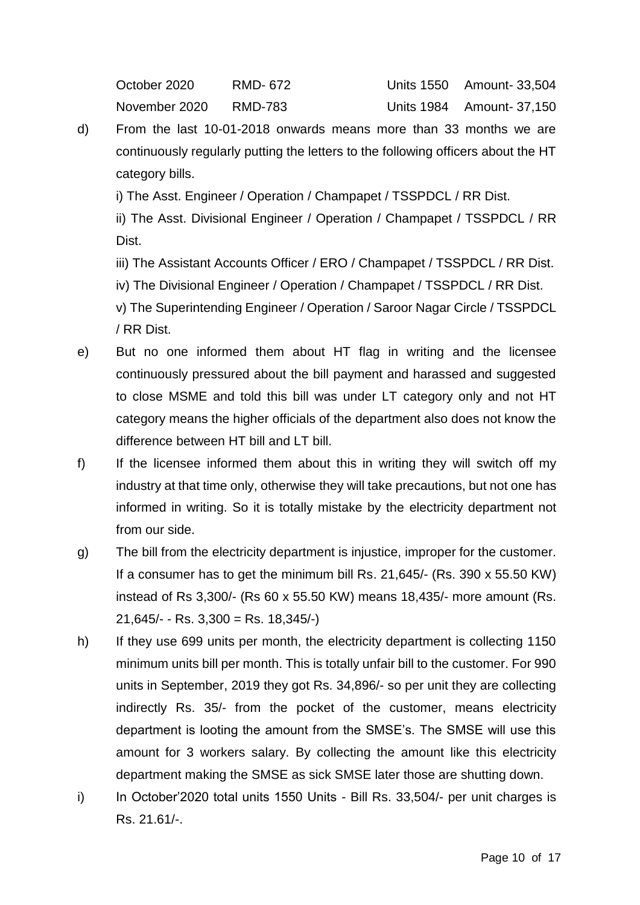October 2020 RMD- 672 Units 1550 Amount- 33,504 November 2020 RMD-783 Units 1984 Amount- 37,150

d) From the last 10-01-2018 onwards means more than 33 months we are continuously regularly putting the letters to the following officers about the HT category bills.

i) The Asst. Engineer / Operation / Champapet / TSSPDCL / RR Dist.

ii) The Asst. Divisional Engineer / Operation / Champapet / TSSPDCL / RR Dist.

iii) The Assistant Accounts Officer / ERO / Champapet / TSSPDCL / RR Dist.

iv) The Divisional Engineer / Operation / Champapet / TSSPDCL / RR Dist.

v) The Superintending Engineer / Operation / Saroor Nagar Circle / TSSPDCL / RR Dist.

- e) But no one informed them about HT flag in writing and the licensee continuously pressured about the bill payment and harassed and suggested to close MSME and told this bill was under LT category only and not HT category means the higher officials of the department also does not know the difference between HT bill and LT bill.
- f) If the licensee informed them about this in writing they will switch off my industry at that time only, otherwise they will take precautions, but not one has informed in writing. So it is totally mistake by the electricity department not from our side.
- g) The bill from the electricity department is injustice, improper for the customer. If a consumer has to get the minimum bill Rs. 21,645/- (Rs. 390 x 55.50 KW) instead of Rs 3,300/- (Rs 60 x 55.50 KW) means 18,435/- more amount (Rs.  $21,645/ -$  Rs.  $3,300 =$  Rs.  $18,345/ -$
- h) If they use 699 units per month, the electricity department is collecting 1150 minimum units bill per month. This is totally unfair bill to the customer. For 990 units in September, 2019 they got Rs. 34,896/- so per unit they are collecting indirectly Rs. 35/- from the pocket of the customer, means electricity department is looting the amount from the SMSE's. The SMSE will use this amount for 3 workers salary. By collecting the amount like this electricity department making the SMSE as sick SMSE later those are shutting down.
- i) In October'2020 total units 1550 Units Bill Rs. 33,504/- per unit charges is Rs. 21.61/-.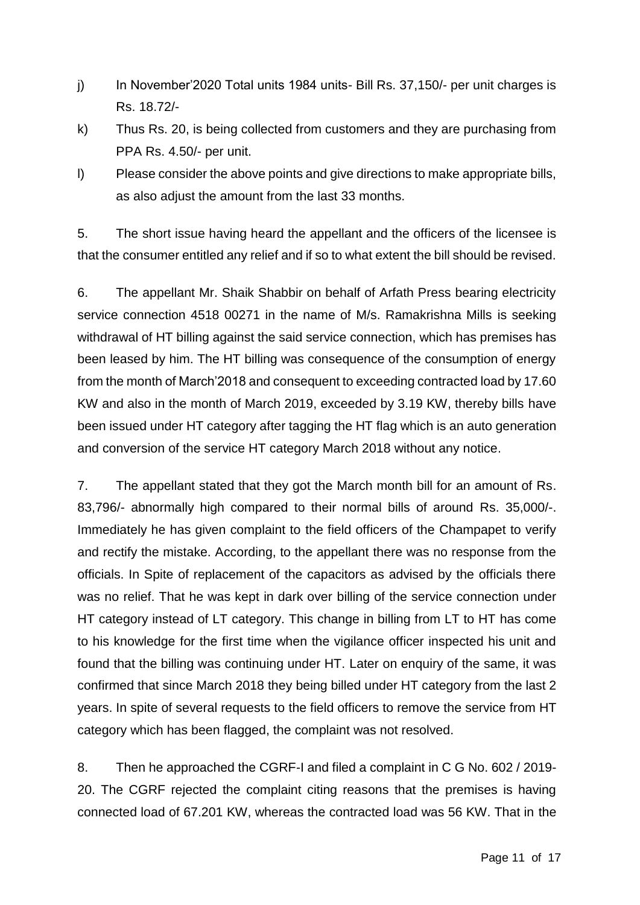- j) In November'2020 Total units 1984 units- Bill Rs. 37,150/- per unit charges is Rs. 18.72/-
- k) Thus Rs. 20, is being collected from customers and they are purchasing from PPA Rs. 4.50/- per unit.
- l) Please consider the above points and give directions to make appropriate bills, as also adjust the amount from the last 33 months.

5. The short issue having heard the appellant and the officers of the licensee is that the consumer entitled any relief and if so to what extent the bill should be revised.

6. The appellant Mr. Shaik Shabbir on behalf of Arfath Press bearing electricity service connection 4518 00271 in the name of M/s. Ramakrishna Mills is seeking withdrawal of HT billing against the said service connection, which has premises has been leased by him. The HT billing was consequence of the consumption of energy from the month of March'2018 and consequent to exceeding contracted load by 17.60 KW and also in the month of March 2019, exceeded by 3.19 KW, thereby bills have been issued under HT category after tagging the HT flag which is an auto generation and conversion of the service HT category March 2018 without any notice.

7. The appellant stated that they got the March month bill for an amount of Rs. 83,796/- abnormally high compared to their normal bills of around Rs. 35,000/-. Immediately he has given complaint to the field officers of the Champapet to verify and rectify the mistake. According, to the appellant there was no response from the officials. In Spite of replacement of the capacitors as advised by the officials there was no relief. That he was kept in dark over billing of the service connection under HT category instead of LT category. This change in billing from LT to HT has come to his knowledge for the first time when the vigilance officer inspected his unit and found that the billing was continuing under HT. Later on enquiry of the same, it was confirmed that since March 2018 they being billed under HT category from the last 2 years. In spite of several requests to the field officers to remove the service from HT category which has been flagged, the complaint was not resolved.

8. Then he approached the CGRF-I and filed a complaint in C G No. 602 / 2019- 20. The CGRF rejected the complaint citing reasons that the premises is having connected load of 67.201 KW, whereas the contracted load was 56 KW. That in the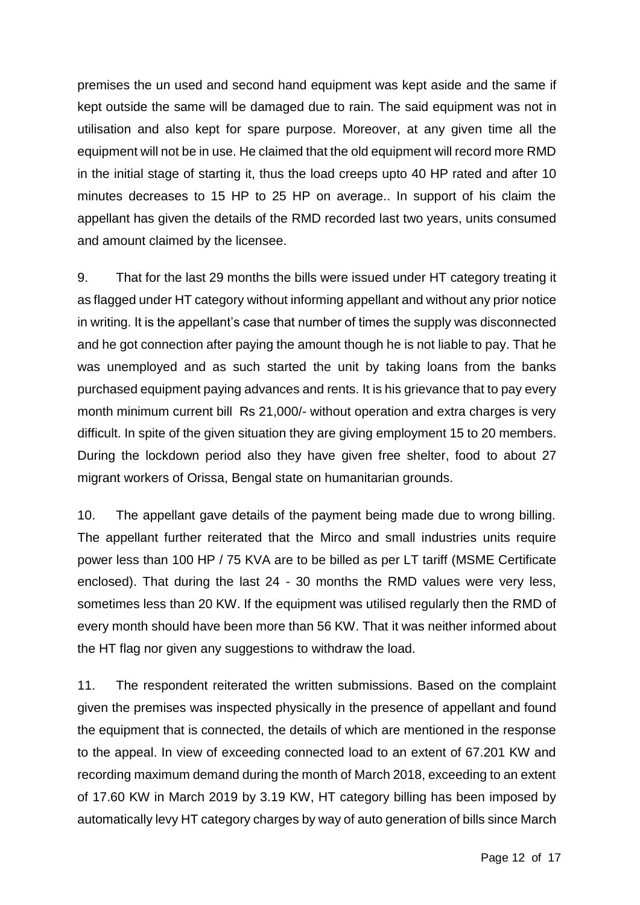premises the un used and second hand equipment was kept aside and the same if kept outside the same will be damaged due to rain. The said equipment was not in utilisation and also kept for spare purpose. Moreover, at any given time all the equipment will not be in use. He claimed that the old equipment will record more RMD in the initial stage of starting it, thus the load creeps upto 40 HP rated and after 10 minutes decreases to 15 HP to 25 HP on average.. In support of his claim the appellant has given the details of the RMD recorded last two years, units consumed and amount claimed by the licensee.

9. That for the last 29 months the bills were issued under HT category treating it as flagged under HT category without informing appellant and without any prior notice in writing. It is the appellant's case that number of times the supply was disconnected and he got connection after paying the amount though he is not liable to pay. That he was unemployed and as such started the unit by taking loans from the banks purchased equipment paying advances and rents. It is his grievance that to pay every month minimum current bill Rs 21,000/- without operation and extra charges is very difficult. In spite of the given situation they are giving employment 15 to 20 members. During the lockdown period also they have given free shelter, food to about 27 migrant workers of Orissa, Bengal state on humanitarian grounds.

10. The appellant gave details of the payment being made due to wrong billing. The appellant further reiterated that the Mirco and small industries units require power less than 100 HP / 75 KVA are to be billed as per LT tariff (MSME Certificate enclosed). That during the last 24 - 30 months the RMD values were very less, sometimes less than 20 KW. If the equipment was utilised regularly then the RMD of every month should have been more than 56 KW. That it was neither informed about the HT flag nor given any suggestions to withdraw the load.

11. The respondent reiterated the written submissions. Based on the complaint given the premises was inspected physically in the presence of appellant and found the equipment that is connected, the details of which are mentioned in the response to the appeal. In view of exceeding connected load to an extent of 67.201 KW and recording maximum demand during the month of March 2018, exceeding to an extent of 17.60 KW in March 2019 by 3.19 KW, HT category billing has been imposed by automatically levy HT category charges by way of auto generation of bills since March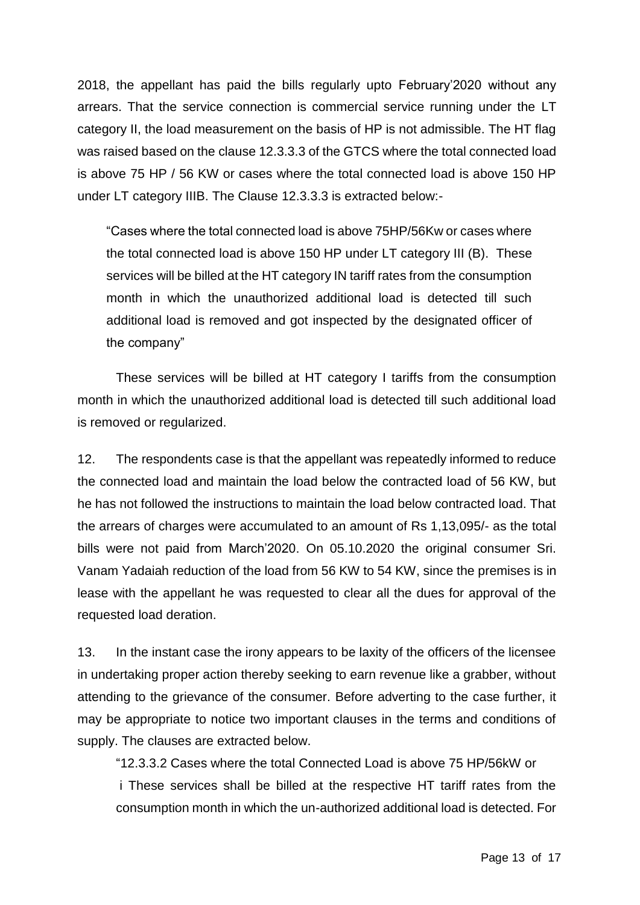2018, the appellant has paid the bills regularly upto February'2020 without any arrears. That the service connection is commercial service running under the LT category II, the load measurement on the basis of HP is not admissible. The HT flag was raised based on the clause 12.3.3.3 of the GTCS where the total connected load is above 75 HP / 56 KW or cases where the total connected load is above 150 HP under LT category IIIB. The Clause 12.3.3.3 is extracted below:-

"Cases where the total connected load is above 75HP/56Kw or cases where the total connected load is above 150 HP under LT category III (B). These services will be billed at the HT category IN tariff rates from the consumption month in which the unauthorized additional load is detected till such additional load is removed and got inspected by the designated officer of the company"

These services will be billed at HT category I tariffs from the consumption month in which the unauthorized additional load is detected till such additional load is removed or regularized.

12. The respondents case is that the appellant was repeatedly informed to reduce the connected load and maintain the load below the contracted load of 56 KW, but he has not followed the instructions to maintain the load below contracted load. That the arrears of charges were accumulated to an amount of Rs 1,13,095/- as the total bills were not paid from March'2020. On 05.10.2020 the original consumer Sri. Vanam Yadaiah reduction of the load from 56 KW to 54 KW, since the premises is in lease with the appellant he was requested to clear all the dues for approval of the requested load deration.

13. In the instant case the irony appears to be laxity of the officers of the licensee in undertaking proper action thereby seeking to earn revenue like a grabber, without attending to the grievance of the consumer. Before adverting to the case further, it may be appropriate to notice two important clauses in the terms and conditions of supply. The clauses are extracted below.

"12.3.3.2 Cases where the total Connected Load is above 75 HP/56kW or i These services shall be billed at the respective HT tariff rates from the consumption month in which the un-authorized additional load is detected. For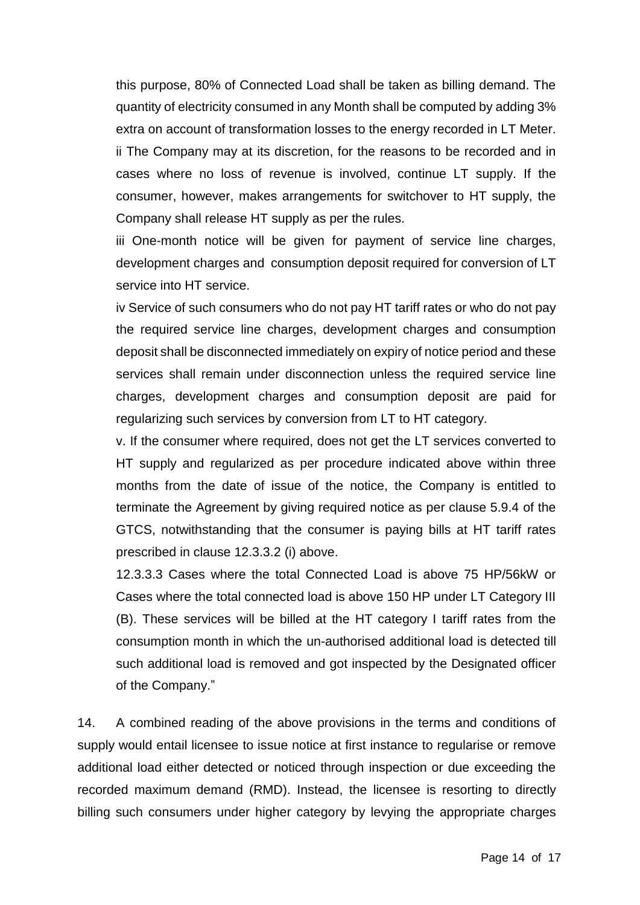this purpose, 80% of Connected Load shall be taken as billing demand. The quantity of electricity consumed in any Month shall be computed by adding 3% extra on account of transformation losses to the energy recorded in LT Meter. ii The Company may at its discretion, for the reasons to be recorded and in cases where no loss of revenue is involved, continue LT supply. If the consumer, however, makes arrangements for switchover to HT supply, the Company shall release HT supply as per the rules.

iii One-month notice will be given for payment of service line charges, development charges and consumption deposit required for conversion of LT service into HT service.

iv Service of such consumers who do not pay HT tariff rates or who do not pay the required service line charges, development charges and consumption deposit shall be disconnected immediately on expiry of notice period and these services shall remain under disconnection unless the required service line charges, development charges and consumption deposit are paid for regularizing such services by conversion from LT to HT category.

v. If the consumer where required, does not get the LT services converted to HT supply and regularized as per procedure indicated above within three months from the date of issue of the notice, the Company is entitled to terminate the Agreement by giving required notice as per clause 5.9.4 of the GTCS, notwithstanding that the consumer is paying bills at HT tariff rates prescribed in clause 12.3.3.2 (i) above.

12.3.3.3 Cases where the total Connected Load is above 75 HP/56kW or Cases where the total connected load is above 150 HP under LT Category III (B). These services will be billed at the HT category I tariff rates from the consumption month in which the un-authorised additional load is detected till such additional load is removed and got inspected by the Designated officer of the Company."

14. A combined reading of the above provisions in the terms and conditions of supply would entail licensee to issue notice at first instance to regularise or remove additional load either detected or noticed through inspection or due exceeding the recorded maximum demand (RMD). Instead, the licensee is resorting to directly billing such consumers under higher category by levying the appropriate charges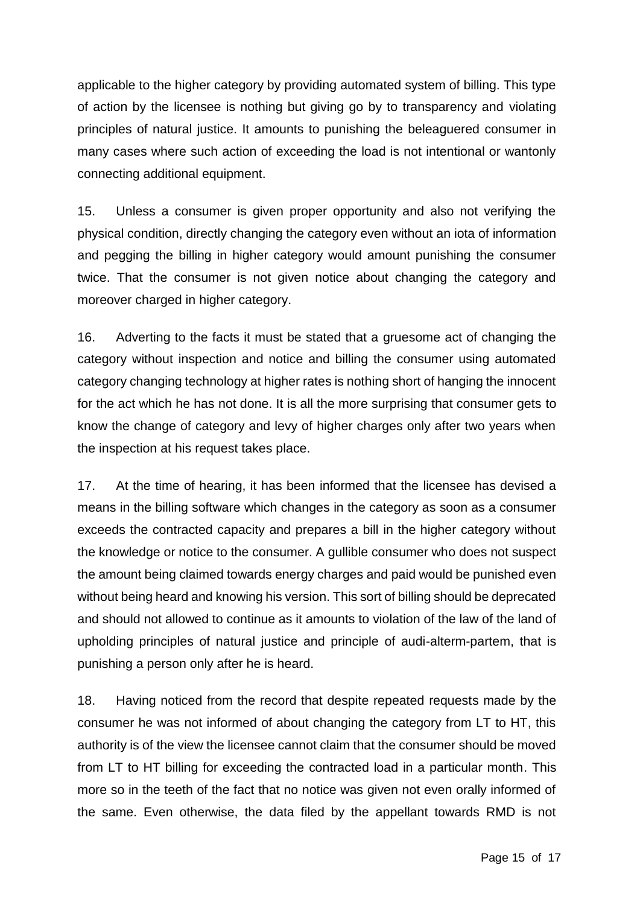applicable to the higher category by providing automated system of billing. This type of action by the licensee is nothing but giving go by to transparency and violating principles of natural justice. It amounts to punishing the beleaguered consumer in many cases where such action of exceeding the load is not intentional or wantonly connecting additional equipment.

15. Unless a consumer is given proper opportunity and also not verifying the physical condition, directly changing the category even without an iota of information and pegging the billing in higher category would amount punishing the consumer twice. That the consumer is not given notice about changing the category and moreover charged in higher category.

16. Adverting to the facts it must be stated that a gruesome act of changing the category without inspection and notice and billing the consumer using automated category changing technology at higher rates is nothing short of hanging the innocent for the act which he has not done. It is all the more surprising that consumer gets to know the change of category and levy of higher charges only after two years when the inspection at his request takes place.

17. At the time of hearing, it has been informed that the licensee has devised a means in the billing software which changes in the category as soon as a consumer exceeds the contracted capacity and prepares a bill in the higher category without the knowledge or notice to the consumer. A gullible consumer who does not suspect the amount being claimed towards energy charges and paid would be punished even without being heard and knowing his version. This sort of billing should be deprecated and should not allowed to continue as it amounts to violation of the law of the land of upholding principles of natural justice and principle of audi-alterm-partem, that is punishing a person only after he is heard.

18. Having noticed from the record that despite repeated requests made by the consumer he was not informed of about changing the category from LT to HT, this authority is of the view the licensee cannot claim that the consumer should be moved from LT to HT billing for exceeding the contracted load in a particular month. This more so in the teeth of the fact that no notice was given not even orally informed of the same. Even otherwise, the data filed by the appellant towards RMD is not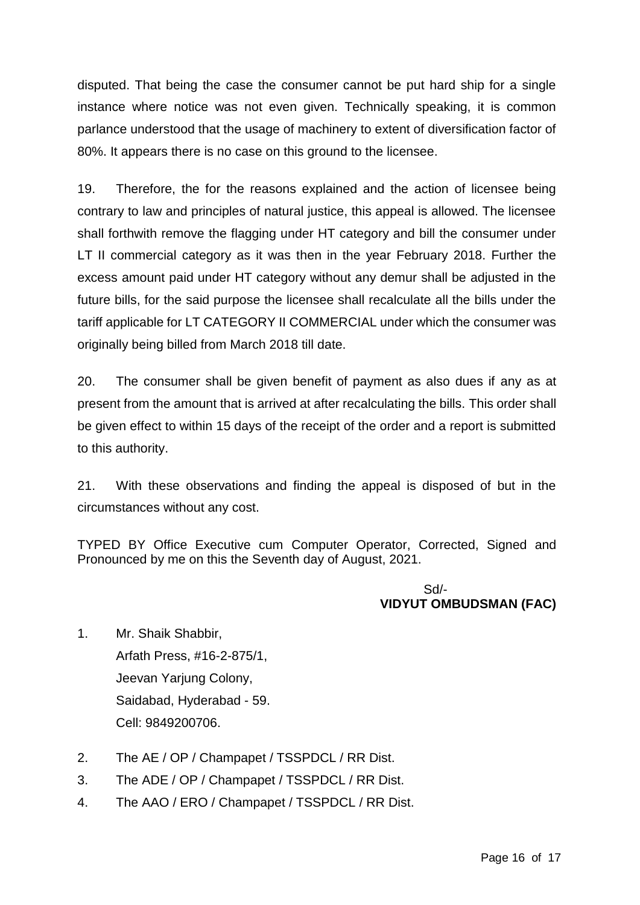disputed. That being the case the consumer cannot be put hard ship for a single instance where notice was not even given. Technically speaking, it is common parlance understood that the usage of machinery to extent of diversification factor of 80%. It appears there is no case on this ground to the licensee.

19. Therefore, the for the reasons explained and the action of licensee being contrary to law and principles of natural justice, this appeal is allowed. The licensee shall forthwith remove the flagging under HT category and bill the consumer under LT II commercial category as it was then in the year February 2018. Further the excess amount paid under HT category without any demur shall be adjusted in the future bills, for the said purpose the licensee shall recalculate all the bills under the tariff applicable for LT CATEGORY II COMMERCIAL under which the consumer was originally being billed from March 2018 till date.

20. The consumer shall be given benefit of payment as also dues if any as at present from the amount that is arrived at after recalculating the bills. This order shall be given effect to within 15 days of the receipt of the order and a report is submitted to this authority.

21. With these observations and finding the appeal is disposed of but in the circumstances without any cost.

TYPED BY Office Executive cum Computer Operator, Corrected, Signed and Pronounced by me on this the Seventh day of August, 2021.

### Sd/- **VIDYUT OMBUDSMAN (FAC)**

- 1. Mr. Shaik Shabbir, Arfath Press, #16-2-875/1, Jeevan Yariung Colony, Saidabad, Hyderabad - 59. Cell: 9849200706.
- 2. The AE / OP / Champapet / TSSPDCL / RR Dist.
- 3. The ADE / OP / Champapet / TSSPDCL / RR Dist.
- 4. The AAO / ERO / Champapet / TSSPDCL / RR Dist.